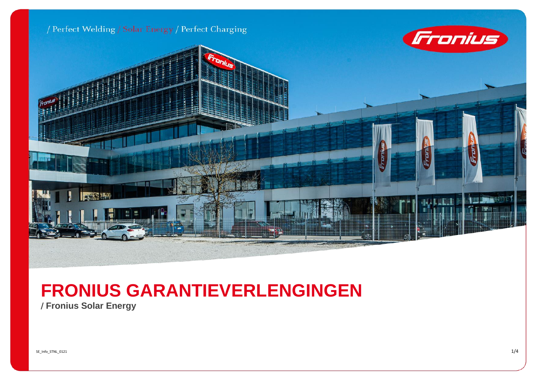

## **FRONIUS GARANTIEVERLENGINGEN**

/ **Fronius Solar Energy**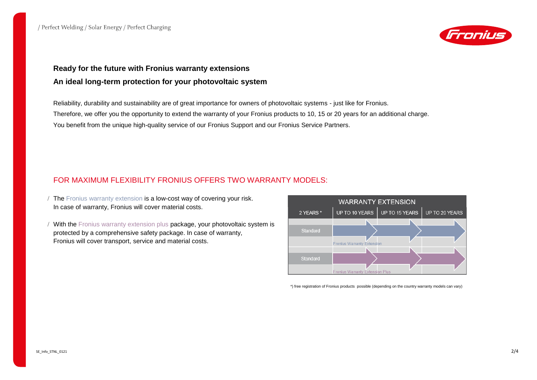

## **Ready for the future with Fronius warranty extensions An ideal long-term protection for your photovoltaic system**

Reliability, durability and sustainability are of great importance for owners of photovoltaic systems - just like for Fronius. Therefore, we offer you the opportunity to extend the warranty of your Fronius products to 10, 15 or 20 years for an additional charge. You benefit from the unique high-quality service of our Fronius Support and our Fronius Service Partners.

## FOR MAXIMUM FLEXIBILITY FRONIUS OFFERS TWO WARRANTY MODELS:

- The Fronius warranty extension is a low-cost way of covering your risk. In case of warranty, Fronius will cover material costs.
- / With the Fronius warranty extension plus package, your photovoltaic system is protected by a comprehensive safety package. In case of warranty, Fronius will cover transport, service and material costs.



\*) free registration of Fronius products possible (depending on the country warranty models can vary)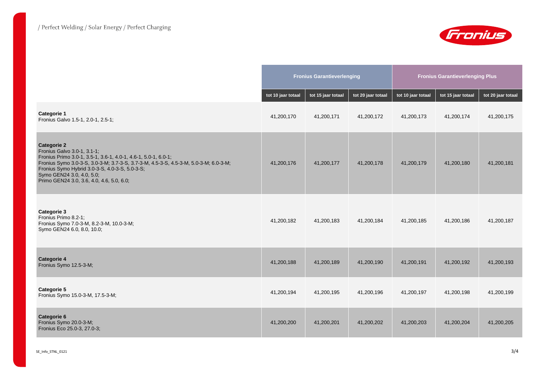

|                                                                                                                                                                                                                                                                                                                                         | <b>Fronius Garantieverlenging</b> |                    |                    | <b>Fronius Garantieverlenging Plus</b> |                    |                    |
|-----------------------------------------------------------------------------------------------------------------------------------------------------------------------------------------------------------------------------------------------------------------------------------------------------------------------------------------|-----------------------------------|--------------------|--------------------|----------------------------------------|--------------------|--------------------|
|                                                                                                                                                                                                                                                                                                                                         | tot 10 jaar totaal                | tot 15 jaar totaal | tot 20 jaar totaal | tot 10 jaar totaal                     | tot 15 jaar totaal | tot 20 jaar totaal |
| <b>Categorie 1</b><br>Fronius Galvo 1.5-1, 2.0-1, 2.5-1;                                                                                                                                                                                                                                                                                | 41,200,170                        | 41,200,171         | 41,200,172         | 41,200,173                             | 41,200,174         | 41,200,175         |
| <b>Categorie 2</b><br>Fronius Galvo 3.0-1, 3.1-1;<br>Fronius Primo 3.0-1, 3.5-1, 3.6-1, 4.0-1, 4.6-1, 5.0-1, 6.0-1;<br>Fronius Symo 3.0-3-S, 3.0-3-M, 3.7-3-S, 3.7-3-M, 4.5-3-S, 4.5-3-M, 5.0-3-M, 6.0-3-M;<br>Fronius Symo Hybrid 3.0-3-S, 4.0-3-S, 5.0-3-S;<br>Symo GEN24 3.0, 4.0, 5.0;<br>Primo GEN24 3.0, 3.6, 4.0, 4.6, 5.0, 6.0; | 41,200,176                        | 41,200,177         | 41,200,178         | 41,200,179                             | 41,200,180         | 41,200,181         |
| Categorie 3<br>Fronius Primo 8.2-1;<br>Fronius Symo 7.0-3-M, 8.2-3-M, 10.0-3-M;<br>Symo GEN24 6.0, 8.0, 10.0;                                                                                                                                                                                                                           | 41,200,182                        | 41,200,183         | 41,200,184         | 41,200,185                             | 41,200,186         | 41,200,187         |
| <b>Categorie 4</b><br>Fronius Symo 12.5-3-M;                                                                                                                                                                                                                                                                                            | 41,200,188                        | 41,200,189         | 41,200,190         | 41,200,191                             | 41,200,192         | 41,200,193         |
| Categorie 5<br>Fronius Symo 15.0-3-M, 17.5-3-M;                                                                                                                                                                                                                                                                                         | 41,200,194                        | 41,200,195         | 41,200,196         | 41,200,197                             | 41,200,198         | 41,200,199         |
| <b>Categorie 6</b><br>Fronius Symo 20.0-3-M;<br>Fronius Eco 25.0-3, 27.0-3;                                                                                                                                                                                                                                                             | 41,200,200                        | 41,200,201         | 41,200,202         | 41,200,203                             | 41,200,204         | 41,200,205         |